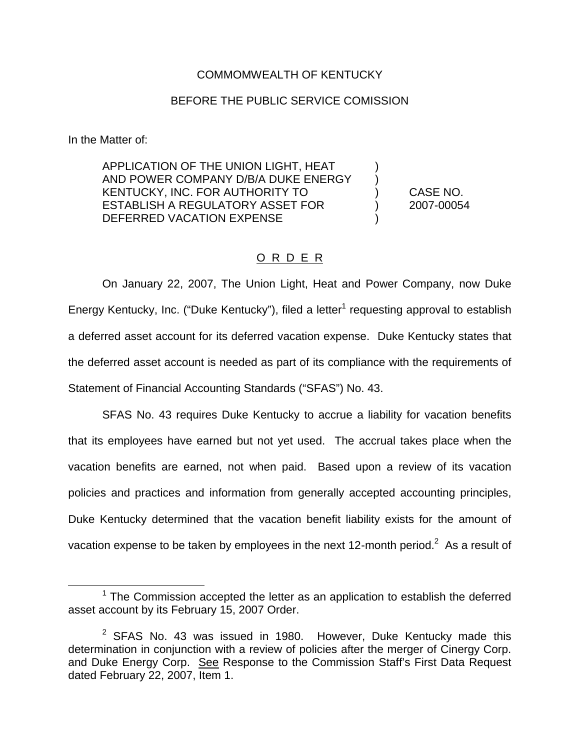## COMMOMWEALTH OF KENTUCKY

## BEFORE THE PUBLIC SERVICE COMISSION

In the Matter of:

APPLICATION OF THE UNION LIGHT, HEAT ) AND POWER COMPANY D/B/A DUKE ENERGY KENTUCKY, INC. FOR AUTHORITY TO ) CASE NO. ESTABLISH A REGULATORY ASSET FOR (2007-00054 DEFERRED VACATION EXPENSE

## O R D E R

On January 22, 2007, The Union Light, Heat and Power Company, now Duke Energy Kentucky, Inc. ("Duke Kentucky"), filed a letter<sup>1</sup> requesting approval to establish a deferred asset account for its deferred vacation expense. Duke Kentucky states that the deferred asset account is needed as part of its compliance with the requirements of Statement of Financial Accounting Standards ("SFAS") No. 43.

SFAS No. 43 requires Duke Kentucky to accrue a liability for vacation benefits that its employees have earned but not yet used. The accrual takes place when the vacation benefits are earned, not when paid. Based upon a review of its vacation policies and practices and information from generally accepted accounting principles, Duke Kentucky determined that the vacation benefit liability exists for the amount of vacation expense to be taken by employees in the next 12-month period.<sup>2</sup> As a result of

 $1$  The Commission accepted the letter as an application to establish the deferred asset account by its February 15, 2007 Order.

 $2$  SFAS No. 43 was issued in 1980. However, Duke Kentucky made this determination in conjunction with a review of policies after the merger of Cinergy Corp. and Duke Energy Corp. See Response to the Commission Staff's First Data Request dated February 22, 2007, Item 1.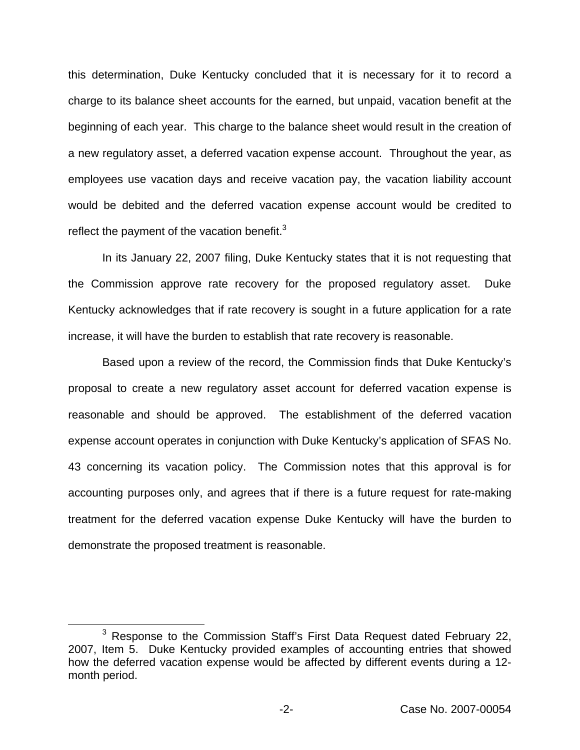this determination, Duke Kentucky concluded that it is necessary for it to record a charge to its balance sheet accounts for the earned, but unpaid, vacation benefit at the beginning of each year. This charge to the balance sheet would result in the creation of a new regulatory asset, a deferred vacation expense account. Throughout the year, as employees use vacation days and receive vacation pay, the vacation liability account would be debited and the deferred vacation expense account would be credited to reflect the payment of the vacation benefit. $3$ 

In its January 22, 2007 filing, Duke Kentucky states that it is not requesting that the Commission approve rate recovery for the proposed regulatory asset. Duke Kentucky acknowledges that if rate recovery is sought in a future application for a rate increase, it will have the burden to establish that rate recovery is reasonable.

Based upon a review of the record, the Commission finds that Duke Kentucky's proposal to create a new regulatory asset account for deferred vacation expense is reasonable and should be approved. The establishment of the deferred vacation expense account operates in conjunction with Duke Kentucky's application of SFAS No. 43 concerning its vacation policy. The Commission notes that this approval is for accounting purposes only, and agrees that if there is a future request for rate-making treatment for the deferred vacation expense Duke Kentucky will have the burden to demonstrate the proposed treatment is reasonable.

<sup>&</sup>lt;sup>3</sup> Response to the Commission Staff's First Data Request dated February 22, 2007, Item 5. Duke Kentucky provided examples of accounting entries that showed how the deferred vacation expense would be affected by different events during a 12 month period.